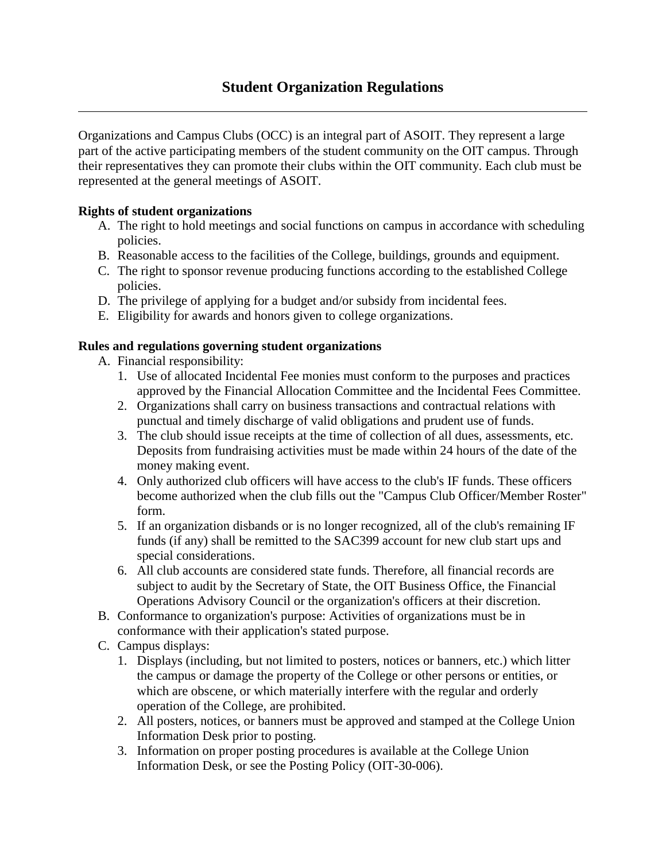Organizations and Campus Clubs (OCC) is an integral part of ASOIT. They represent a large part of the active participating members of the student community on the OIT campus. Through their representatives they can promote their clubs within the OIT community. Each club must be represented at the general meetings of ASOIT.

## **Rights of student organizations**

- A. The right to hold meetings and social functions on campus in accordance with scheduling policies.
- B. Reasonable access to the facilities of the College, buildings, grounds and equipment.
- C. The right to sponsor revenue producing functions according to the established College policies.
- D. The privilege of applying for a budget and/or subsidy from incidental fees.
- E. Eligibility for awards and honors given to college organizations.

## **Rules and regulations governing student organizations**

- A. Financial responsibility:
	- 1. Use of allocated Incidental Fee monies must conform to the purposes and practices approved by the Financial Allocation Committee and the Incidental Fees Committee.
	- 2. Organizations shall carry on business transactions and contractual relations with punctual and timely discharge of valid obligations and prudent use of funds.
	- 3. The club should issue receipts at the time of collection of all dues, assessments, etc. Deposits from fundraising activities must be made within 24 hours of the date of the money making event.
	- 4. Only authorized club officers will have access to the club's IF funds. These officers become authorized when the club fills out the "Campus Club Officer/Member Roster" form.
	- 5. If an organization disbands or is no longer recognized, all of the club's remaining IF funds (if any) shall be remitted to the SAC399 account for new club start ups and special considerations.
	- 6. All club accounts are considered state funds. Therefore, all financial records are subject to audit by the Secretary of State, the OIT Business Office, the Financial Operations Advisory Council or the organization's officers at their discretion.
- B. Conformance to organization's purpose: Activities of organizations must be in conformance with their application's stated purpose.
- C. Campus displays:
	- 1. Displays (including, but not limited to posters, notices or banners, etc.) which litter the campus or damage the property of the College or other persons or entities, or which are obscene, or which materially interfere with the regular and orderly operation of the College, are prohibited.
	- 2. All posters, notices, or banners must be approved and stamped at the College Union Information Desk prior to posting.
	- 3. Information on proper posting procedures is available at the College Union Information Desk, or see the Posting Policy (OIT-30-006).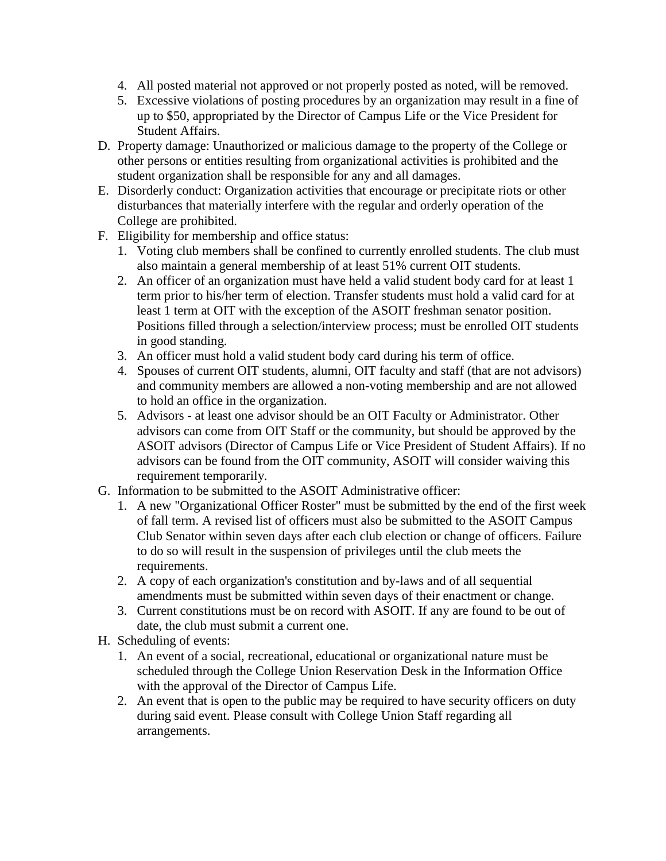- 4. All posted material not approved or not properly posted as noted, will be removed.
- 5. Excessive violations of posting procedures by an organization may result in a fine of up to \$50, appropriated by the Director of Campus Life or the Vice President for Student Affairs.
- D. Property damage: Unauthorized or malicious damage to the property of the College or other persons or entities resulting from organizational activities is prohibited and the student organization shall be responsible for any and all damages.
- E. Disorderly conduct: Organization activities that encourage or precipitate riots or other disturbances that materially interfere with the regular and orderly operation of the College are prohibited.
- F. Eligibility for membership and office status:
	- 1. Voting club members shall be confined to currently enrolled students. The club must also maintain a general membership of at least 51% current OIT students.
	- 2. An officer of an organization must have held a valid student body card for at least 1 term prior to his/her term of election. Transfer students must hold a valid card for at least 1 term at OIT with the exception of the ASOIT freshman senator position. Positions filled through a selection/interview process; must be enrolled OIT students in good standing.
	- 3. An officer must hold a valid student body card during his term of office.
	- 4. Spouses of current OIT students, alumni, OIT faculty and staff (that are not advisors) and community members are allowed a non-voting membership and are not allowed to hold an office in the organization.
	- 5. Advisors at least one advisor should be an OIT Faculty or Administrator. Other advisors can come from OIT Staff or the community, but should be approved by the ASOIT advisors (Director of Campus Life or Vice President of Student Affairs). If no advisors can be found from the OIT community, ASOIT will consider waiving this requirement temporarily.
- G. Information to be submitted to the ASOIT Administrative officer:
	- 1. A new "Organizational Officer Roster" must be submitted by the end of the first week of fall term. A revised list of officers must also be submitted to the ASOIT Campus Club Senator within seven days after each club election or change of officers. Failure to do so will result in the suspension of privileges until the club meets the requirements.
	- 2. A copy of each organization's constitution and by-laws and of all sequential amendments must be submitted within seven days of their enactment or change.
	- 3. Current constitutions must be on record with ASOIT. If any are found to be out of date, the club must submit a current one.
- H. Scheduling of events:
	- 1. An event of a social, recreational, educational or organizational nature must be scheduled through the College Union Reservation Desk in the Information Office with the approval of the Director of Campus Life.
	- 2. An event that is open to the public may be required to have security officers on duty during said event. Please consult with College Union Staff regarding all arrangements.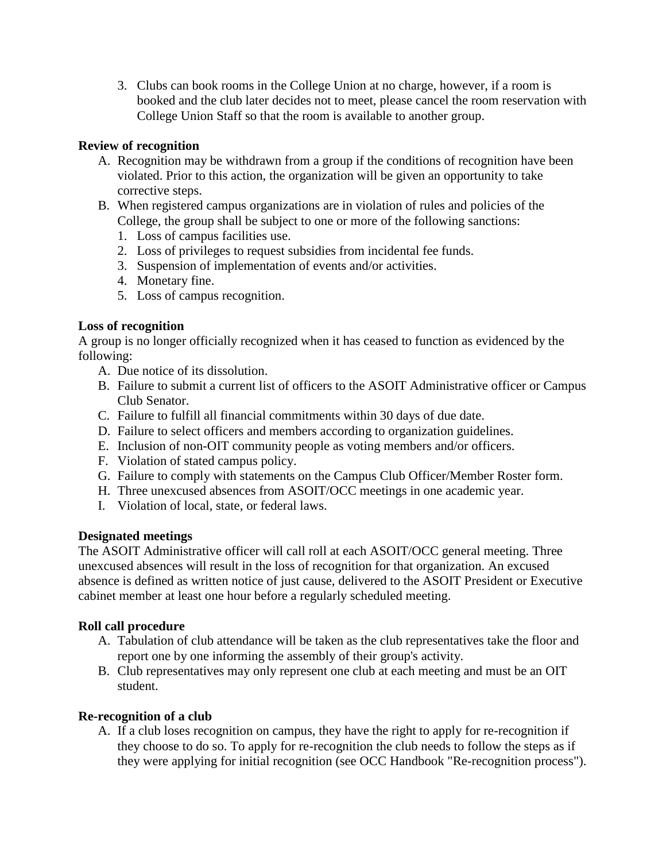3. Clubs can book rooms in the College Union at no charge, however, if a room is booked and the club later decides not to meet, please cancel the room reservation with College Union Staff so that the room is available to another group.

### **Review of recognition**

- A. Recognition may be withdrawn from a group if the conditions of recognition have been violated. Prior to this action, the organization will be given an opportunity to take corrective steps.
- B. When registered campus organizations are in violation of rules and policies of the College, the group shall be subject to one or more of the following sanctions:
	- 1. Loss of campus facilities use.
	- 2. Loss of privileges to request subsidies from incidental fee funds.
	- 3. Suspension of implementation of events and/or activities.
	- 4. Monetary fine.
	- 5. Loss of campus recognition.

## **Loss of recognition**

A group is no longer officially recognized when it has ceased to function as evidenced by the following:

- A. Due notice of its dissolution.
- B. Failure to submit a current list of officers to the ASOIT Administrative officer or Campus Club Senator.
- C. Failure to fulfill all financial commitments within 30 days of due date.
- D. Failure to select officers and members according to organization guidelines.
- E. Inclusion of non-OIT community people as voting members and/or officers.
- F. Violation of stated campus policy.
- G. Failure to comply with statements on the Campus Club Officer/Member Roster form.
- H. Three unexcused absences from ASOIT/OCC meetings in one academic year.
- I. Violation of local, state, or federal laws.

#### **Designated meetings**

The ASOIT Administrative officer will call roll at each ASOIT/OCC general meeting. Three unexcused absences will result in the loss of recognition for that organization. An excused absence is defined as written notice of just cause, delivered to the ASOIT President or Executive cabinet member at least one hour before a regularly scheduled meeting.

#### **Roll call procedure**

- A. Tabulation of club attendance will be taken as the club representatives take the floor and report one by one informing the assembly of their group's activity.
- B. Club representatives may only represent one club at each meeting and must be an OIT student.

#### **Re-recognition of a club**

A. If a club loses recognition on campus, they have the right to apply for re-recognition if they choose to do so. To apply for re-recognition the club needs to follow the steps as if they were applying for initial recognition (see OCC Handbook "Re-recognition process").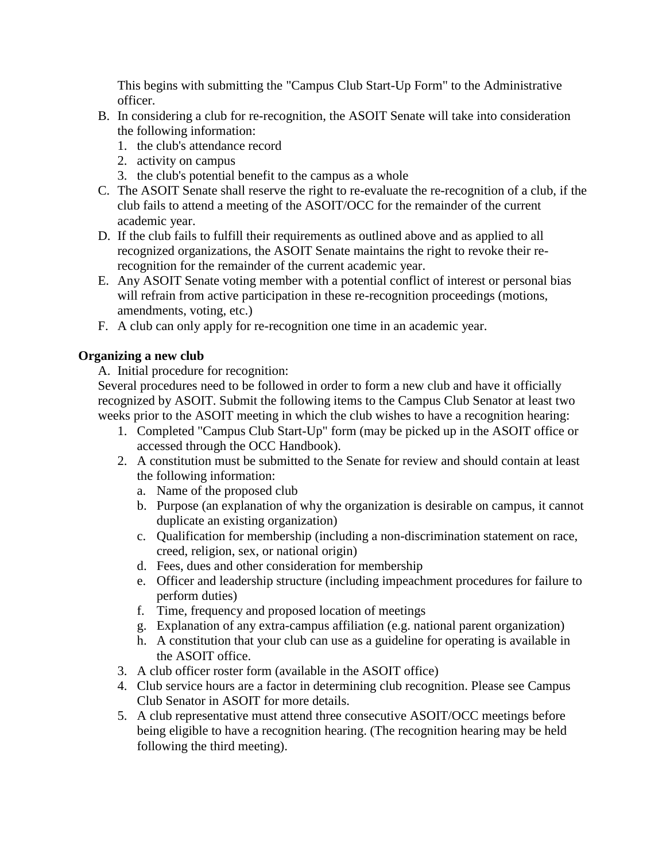This begins with submitting the "Campus Club Start-Up Form" to the Administrative officer.

- B. In considering a club for re-recognition, the ASOIT Senate will take into consideration the following information:
	- 1. the club's attendance record
	- 2. activity on campus
	- 3. the club's potential benefit to the campus as a whole
- C. The ASOIT Senate shall reserve the right to re-evaluate the re-recognition of a club, if the club fails to attend a meeting of the ASOIT/OCC for the remainder of the current academic year.
- D. If the club fails to fulfill their requirements as outlined above and as applied to all recognized organizations, the ASOIT Senate maintains the right to revoke their rerecognition for the remainder of the current academic year.
- E. Any ASOIT Senate voting member with a potential conflict of interest or personal bias will refrain from active participation in these re-recognition proceedings (motions, amendments, voting, etc.)
- F. A club can only apply for re-recognition one time in an academic year.

# **Organizing a new club**

A. Initial procedure for recognition:

Several procedures need to be followed in order to form a new club and have it officially recognized by ASOIT. Submit the following items to the Campus Club Senator at least two weeks prior to the ASOIT meeting in which the club wishes to have a recognition hearing:

- 1. Completed "Campus Club Start-Up" form (may be picked up in the ASOIT office or accessed through the OCC Handbook).
- 2. A constitution must be submitted to the Senate for review and should contain at least the following information:
	- a. Name of the proposed club
	- b. Purpose (an explanation of why the organization is desirable on campus, it cannot duplicate an existing organization)
	- c. Qualification for membership (including a non-discrimination statement on race, creed, religion, sex, or national origin)
	- d. Fees, dues and other consideration for membership
	- e. Officer and leadership structure (including impeachment procedures for failure to perform duties)
	- f. Time, frequency and proposed location of meetings
	- g. Explanation of any extra-campus affiliation (e.g. national parent organization)
	- h. A constitution that your club can use as a guideline for operating is available in the ASOIT office.
- 3. A club officer roster form (available in the ASOIT office)
- 4. Club service hours are a factor in determining club recognition. Please see Campus Club Senator in ASOIT for more details.
- 5. A club representative must attend three consecutive ASOIT/OCC meetings before being eligible to have a recognition hearing. (The recognition hearing may be held following the third meeting).